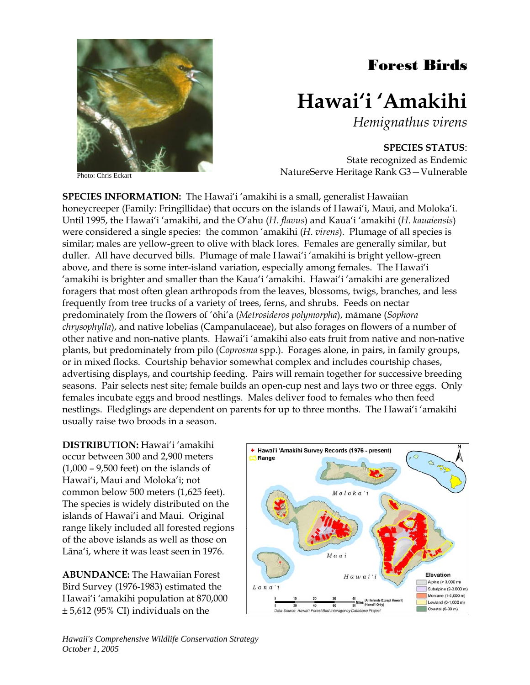## Forest Birds



## **Hawai'i 'Amakihi**

*Hemignathus virens* 

**SPECIES STATUS**:

State recognized as Endemic NatureServe Heritage Rank G3—Vulnerable

Photo: Chris Eckart

**SPECIES INFORMATION:** The Hawai'i 'amakihi is a small, generalist Hawaiian honeycreeper (Family: Fringillidae) that occurs on the islands of Hawai'i, Maui, and Moloka'i. Until 1995, the Hawai'i 'amakihi, and the O'ahu (*H*. *flavus*) and Kaua'i 'amakihi (*H*. *kauaiensis*) were considered a single species: the common 'amakihi (*H*. *virens*). Plumage of all species is similar; males are yellow-green to olive with black lores. Females are generally similar, but duller. All have decurved bills. Plumage of male Hawai'i 'amakihi is bright yellow-green above, and there is some inter-island variation, especially among females. The Hawai'i 'amakihi is brighter and smaller than the Kaua'i 'amakihi. Hawai'i 'amakihi are generalized foragers that most often glean arthropods from the leaves, blossoms, twigs, branches, and less frequently from tree trucks of a variety of trees, ferns, and shrubs. Feeds on nectar predominately from the flowers of 'ōhi'a (*Metrosideros polymorpha*), māmane (*Sophora chrysophylla*), and native lobelias (Campanulaceae), but also forages on flowers of a number of other native and non-native plants. Hawai'i 'amakihi also eats fruit from native and non-native plants, but predominately from pilo (*Coprosma* spp.). Forages alone, in pairs, in family groups, or in mixed flocks. Courtship behavior somewhat complex and includes courtship chases, advertising displays, and courtship feeding. Pairs will remain together for successive breeding seasons. Pair selects nest site; female builds an open-cup nest and lays two or three eggs. Only females incubate eggs and brood nestlings. Males deliver food to females who then feed nestlings. Fledglings are dependent on parents for up to three months. The Hawai'i 'amakihi usually raise two broods in a season.

**DISTRIBUTION:** Hawai'i 'amakihi occur between 300 and 2,900 meters (1,000 – 9,500 feet) on the islands of Hawai'i, Maui and Moloka'i; not common below 500 meters (1,625 feet). The species is widely distributed on the islands of Hawai'i and Maui. Original range likely included all forested regions of the above islands as well as those on Lāna'i, where it was least seen in 1976.

**ABUNDANCE:** The Hawaiian Forest Bird Survey (1976-1983) estimated the Hawai'i 'amakihi population at 870,000 ± 5,612 (95% CI) individuals on the

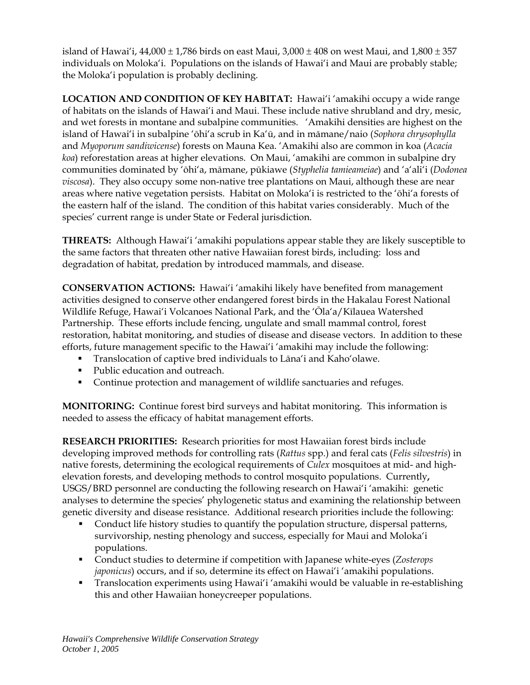island of Hawai'i, 44,000  $\pm$  1,786 birds on east Maui, 3,000  $\pm$  408 on west Maui, and 1,800  $\pm$  357 individuals on Moloka'i. Populations on the islands of Hawai'i and Maui are probably stable; the Moloka'i population is probably declining.

**LOCATION AND CONDITION OF KEY HABITAT:** Hawai'i 'amakihi occupy a wide range of habitats on the islands of Hawai'i and Maui. These include native shrubland and dry, mesic, and wet forests in montane and subalpine communities. 'Amakihi densities are highest on the island of Hawai'i in subalpine 'ōhi'a scrub in Ka'ū, and in māmane/naio (*Sophora chrysophylla* and *Myoporum sandiwicense*) forests on Mauna Kea. 'Amakihi also are common in koa (*Acacia koa*) reforestation areas at higher elevations. On Maui, 'amakihi are common in subalpine dry communities dominated by 'ōhi'a, māmane, pūkiawe (*Styphelia tamieameiae*) and 'a'ali'i (*Dodonea viscosa*). They also occupy some non-native tree plantations on Maui, although these are near areas where native vegetation persists. Habitat on Moloka'i is restricted to the 'ōhi'a forests of the eastern half of the island. The condition of this habitat varies considerably. Much of the species' current range is under State or Federal jurisdiction.

**THREATS:** Although Hawai'i 'amakihi populations appear stable they are likely susceptible to the same factors that threaten other native Hawaiian forest birds, including: loss and degradation of habitat, predation by introduced mammals, and disease.

**CONSERVATION ACTIONS:** Hawai'i 'amakihi likely have benefited from management activities designed to conserve other endangered forest birds in the Hakalau Forest National Wildlife Refuge, Hawai'i Volcanoes National Park, and the 'Ōla'a/Kīlauea Watershed Partnership. These efforts include fencing, ungulate and small mammal control, forest restoration, habitat monitoring, and studies of disease and disease vectors. In addition to these efforts, future management specific to the Hawai'i 'amakihi may include the following:

- Translocation of captive bred individuals to Lāna'i and Kaho'olawe.
- Public education and outreach.
- Continue protection and management of wildlife sanctuaries and refuges.

**MONITORING:** Continue forest bird surveys and habitat monitoring. This information is needed to assess the efficacy of habitat management efforts.

**RESEARCH PRIORITIES:** Research priorities for most Hawaiian forest birds include developing improved methods for controlling rats (*Rattus* spp.) and feral cats (*Felis silvestris*) in native forests, determining the ecological requirements of *Culex* mosquitoes at mid- and highelevation forests, and developing methods to control mosquito populations. Currently**,**  USGS/BRD personnel are conducting the following research on Hawai'i 'amakihi: genetic analyses to determine the species' phylogenetic status and examining the relationship between genetic diversity and disease resistance. Additional research priorities include the following:

- Conduct life history studies to quantify the population structure, dispersal patterns, survivorship, nesting phenology and success, especially for Maui and Moloka'i populations.
- Conduct studies to determine if competition with Japanese white-eyes (*Zosterops japonicus*) occurs, and if so, determine its effect on Hawai'i 'amakihi populations.
- Translocation experiments using Hawai'i 'amakihi would be valuable in re-establishing this and other Hawaiian honeycreeper populations.